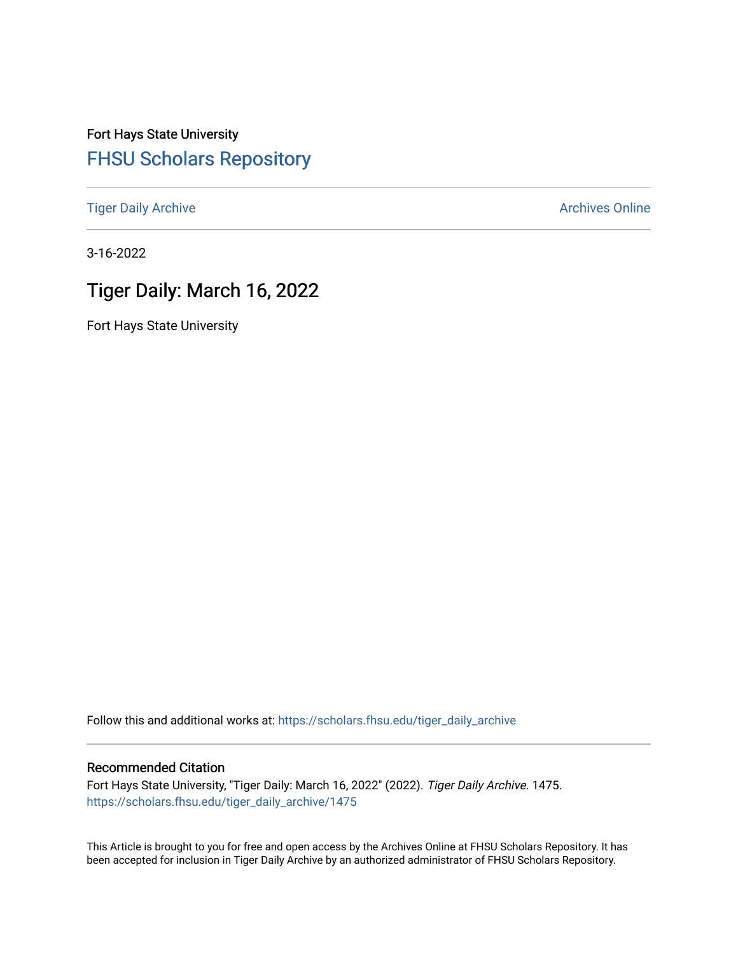Fort Hays State University [FHSU Scholars Repository](https://scholars.fhsu.edu/) 

[Tiger Daily Archive](https://scholars.fhsu.edu/tiger_daily_archive) **Archives** Online Archives Online

3-16-2022

# Tiger Daily: March 16, 2022

Fort Hays State University

Follow this and additional works at: [https://scholars.fhsu.edu/tiger\\_daily\\_archive](https://scholars.fhsu.edu/tiger_daily_archive?utm_source=scholars.fhsu.edu%2Ftiger_daily_archive%2F1475&utm_medium=PDF&utm_campaign=PDFCoverPages)

### Recommended Citation

Fort Hays State University, "Tiger Daily: March 16, 2022" (2022). Tiger Daily Archive. 1475. [https://scholars.fhsu.edu/tiger\\_daily\\_archive/1475](https://scholars.fhsu.edu/tiger_daily_archive/1475?utm_source=scholars.fhsu.edu%2Ftiger_daily_archive%2F1475&utm_medium=PDF&utm_campaign=PDFCoverPages)

This Article is brought to you for free and open access by the Archives Online at FHSU Scholars Repository. It has been accepted for inclusion in Tiger Daily Archive by an authorized administrator of FHSU Scholars Repository.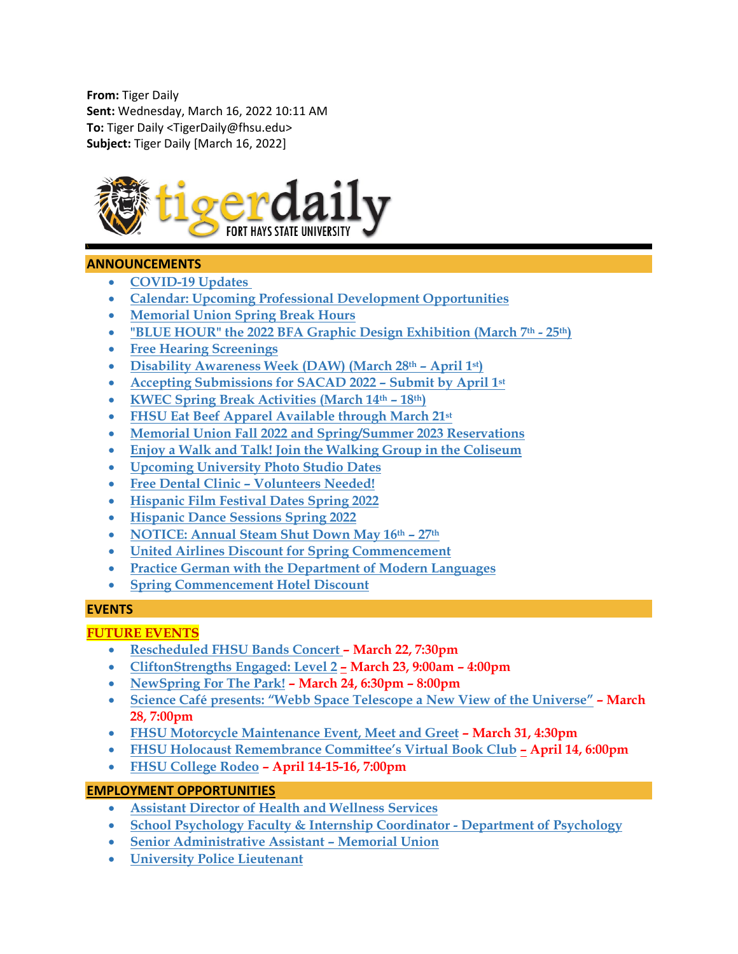**From:** Tiger Daily **Sent:** Wednesday, March 16, 2022 10:11 AM **To:** Tiger Daily <TigerDaily@fhsu.edu> **Subject:** Tiger Daily [March 16, 2022]



# **ANNOUNCEMENTS**

- **[COVID-19 Updates](#page-2-0)**
- **[Calendar: Upcoming Professional Development Opportunities](#page-2-1)**
- **[Memorial Union Spring Break Hours](#page-2-2)**
- **["BLUE HOUR" the 2022 BFA Graphic Design Exhibition \(March 7th 25th\)](#page-2-3)**
- **[Free Hearing Screenings](#page-2-4)**
- **[Disability Awareness Week \(DAW\) \(March 28th April 1st\)](#page-3-0)**
- **[Accepting Submissions for SACAD 2022 Submit by April 1st](#page-3-1)**
- **[KWEC Spring Break Activities \(March 14th 18th\)](#page-3-2)**
- **[FHSU Eat Beef Apparel Available through March 21st](#page-4-0)**
- **[Memorial Union Fall 2022 and Spring/Summer 2023 Reservations](#page-4-1)**
- **[Enjoy a Walk and Talk! Join the Walking Group in the Coliseum](#page-4-2)**
- **[Upcoming University Photo Studio Dates](#page-4-3)**
- **[Free Dental Clinic Volunteers Needed!](#page-5-0)**
- **[Hispanic Film Festival Dates Spring 2022](#page-5-1)**
- **[Hispanic Dance Sessions Spring 2022](#page-6-0)**
- **[NOTICE: Annual Steam Shut Down May 16th 27th](#page-6-1)**
- **[United Airlines Discount for Spring Commencement](#page-7-0)**
- **[Practice German with the Department of Modern Languages](#page-7-1)**
- **[Spring Commencement Hotel Discount](#page-8-0)**

# **EVENTS**

# **FUTURE EVENTS**

- **[Rescheduled FHSU Bands Concert](#page-8-1) March 22, 7:30pm**
- **[CliftonStrengths Engaged: Level 2](#page-8-2) March 23, 9:00am 4:00pm**
- **[NewSpring For The Park!](#page-9-0)  March 24, 6:30pm 8:00pm**
- **[Science Café presents: "Webb Space Telescope a New View of the Universe"](#page-9-1) March 28, 7:00pm**
- **[FHSU Motorcycle Maintenance Event, Meet and Greet](#page-9-2)  March 31, 4:30pm**
- **[FHSU Holocaust Remembrance Committee's Virtual Book Club](#page-9-3) – April 14, 6:00pm**
- **[FHSU College Rodeo](#page-10-0)  April 14-15-16, 7:00pm**

# **EMPLOYMENT OPPORTUNITIES**

- **[Assistant Director of Health and Wellness Services](#page-10-1)**
- **[School Psychology Faculty & Internship Coordinator Department of Psychology](#page-10-2)**
- **[Senior Administrative Assistant Memorial Union](#page-11-0)**
- **[University Police Lieutenant](#page-12-0)**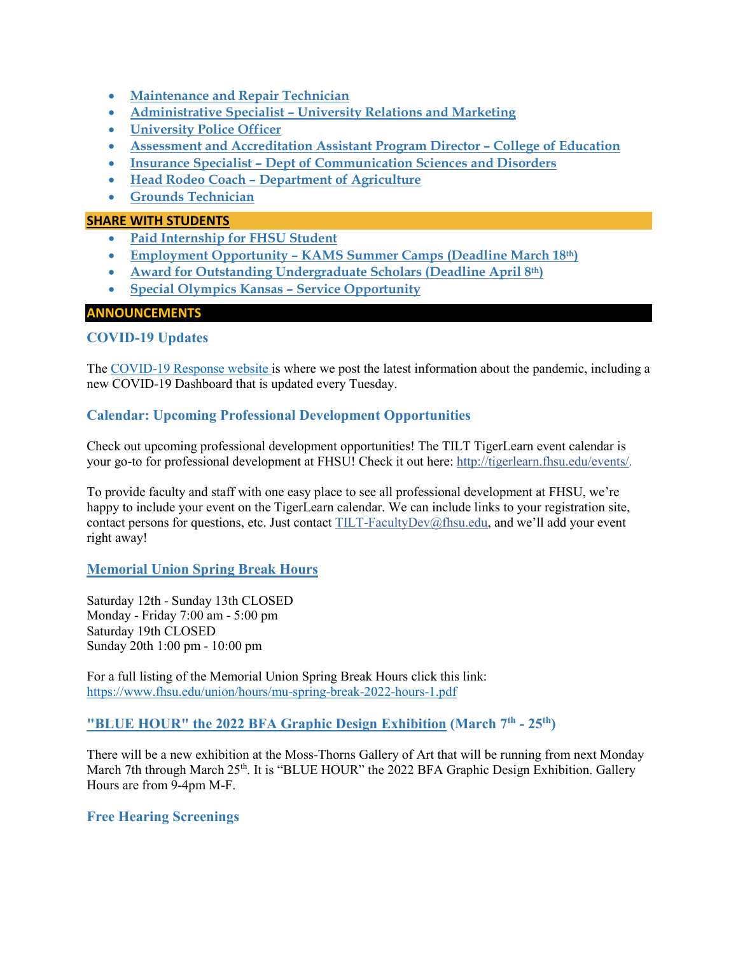- **[Maintenance and Repair Technician](#page-13-0)**
- **[Administrative Specialist University Relations and Marketing](#page-13-1)**
- **[University Police Officer](#page-14-0)**
- **[Assessment and Accreditation Assistant Program Director College of Education](#page-14-1)**
- **[Insurance Specialist Dept of Communication Sciences and Disorders](#page-15-0)**
- **[Head Rodeo Coach Department of Agriculture](#page-16-0)**
- **[Grounds Technician](#page-16-1)**

### **SHARE WITH STUDENTS**

- **[Paid Internship for FHSU Student](#page-16-2)**
- **[Employment Opportunity KAMS Summer Camps \(Deadline March 18th\)](#page-16-3)**
- **[Award for Outstanding Undergraduate Scholars \(Deadline April 8th\)](#page-17-0)**
- <span id="page-2-0"></span>• **[Special Olympics Kansas – Service Opportunity](#page-17-1)**

# **ANNOUNCEMENTS**

# **COVID-19 Updates**

The [COVID-19 Response website](https://www.fhsu.edu/covid-19-response/index) is where we post the latest information about the pandemic, including a new COVID-19 Dashboard that is updated every Tuesday.

# <span id="page-2-1"></span>**Calendar: Upcoming Professional Development Opportunities**

Check out upcoming professional development opportunities! The TILT TigerLearn event calendar is your go-to for professional development at FHSU! Check it out here: [http://tigerlearn.fhsu.edu/events/.](http://tigerlearn.fhsu.edu/events/)

To provide faculty and staff with one easy place to see all professional development at FHSU, we're happy to include your event on the TigerLearn calendar. We can include links to your registration site, contact persons for questions, etc. Just contact [TILT-FacultyDev@fhsu.edu,](mailto:TILT-FacultyDev@fhsu.edu) and we'll add your event right away!

<span id="page-2-2"></span>**[Memorial Union Spring Break Hours](#page-2-3)** 

Saturday 12th - Sunday 13th CLOSED Monday - Friday 7:00 am - 5:00 pm Saturday 19th CLOSED Sunday 20th 1:00 pm - 10:00 pm

For a full listing of the Memorial Union Spring Break Hours click this link: <https://www.fhsu.edu/union/hours/mu-spring-break-2022-hours-1.pdf>

# <span id="page-2-3"></span>**"BLUE HOUR" the 2022 [BFA Graphic Design Exhibition](#page-2-3) (March 7th - 25th)**

There will be a new exhibition at the Moss-Thorns Gallery of Art that will be running from next Monday March 7th through March 25<sup>th</sup>. It is "BLUE HOUR" the 2022 BFA Graphic Design Exhibition. Gallery Hours are from 9-4pm M-F.

# <span id="page-2-4"></span>**Free Hearing Screenings**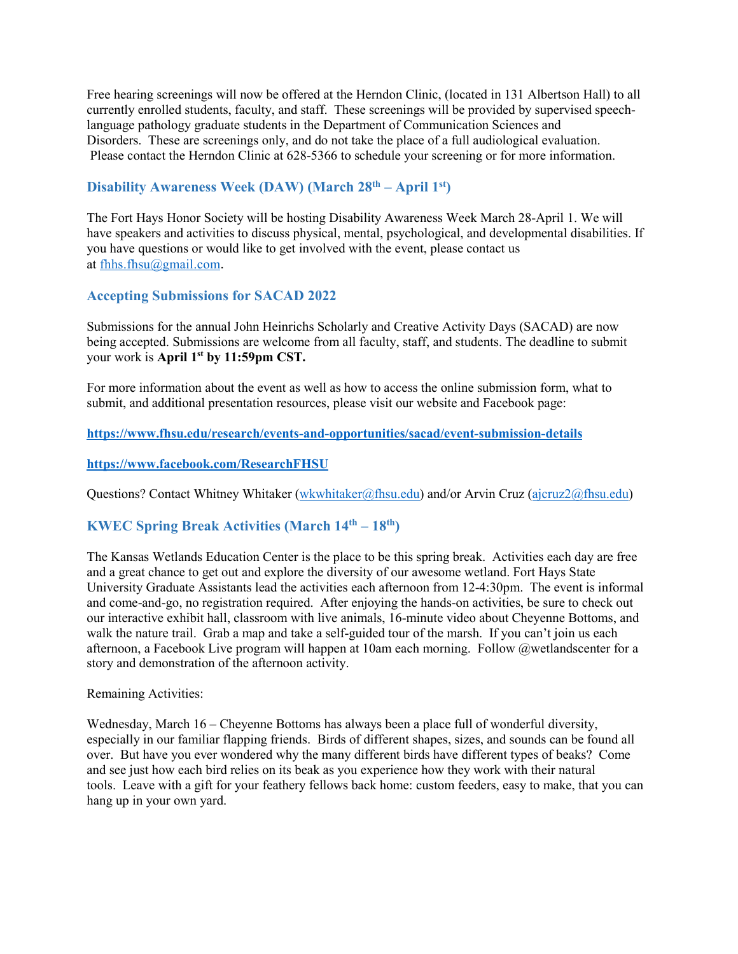Free hearing screenings will now be offered at the Herndon Clinic, (located in 131 Albertson Hall) to all currently enrolled students, faculty, and staff. These screenings will be provided by supervised speechlanguage pathology graduate students in the Department of Communication Sciences and Disorders. These are screenings only, and do not take the place of a full audiological evaluation. Please contact the Herndon Clinic at 628-5366 to schedule your screening or for more information.

# <span id="page-3-0"></span>**Disability Awareness Week (DAW) (March 28th – April 1st)**

The Fort Hays Honor Society will be hosting Disability Awareness Week March 28-April 1. We will have speakers and activities to discuss physical, mental, psychological, and developmental disabilities. If you have questions or would like to get involved with the event, please contact us at [fhhs.fhsu@gmail.com](mailto:fhhs.fhsu@gmail.com).

# <span id="page-3-1"></span>**Accepting Submissions for SACAD 2022**

Submissions for the annual John Heinrichs Scholarly and Creative Activity Days (SACAD) are now being accepted. Submissions are welcome from all faculty, staff, and students. The deadline to submit your work is **April 1st by 11:59pm CST.**

For more information about the event as well as how to access the online submission form, what to submit, and additional presentation resources, please visit our website and Facebook page:

### **<https://www.fhsu.edu/research/events-and-opportunities/sacad/event-submission-details>**

### **<https://www.facebook.com/ResearchFHSU>**

Questions? Contact Whitney Whitaker [\(wkwhitaker@fhsu.edu\)](mailto:wkwhitaker@fhsu.edu) and/or Arvin Cruz [\(ajcruz2@fhsu.edu\)](mailto:ajcruz2@fhsu.edu)

# <span id="page-3-2"></span>**KWEC Spring Break Activities (March 14th – 18th)**

The Kansas Wetlands Education Center is the place to be this spring break. Activities each day are free and a great chance to get out and explore the diversity of our awesome wetland. Fort Hays State University Graduate Assistants lead the activities each afternoon from 12-4:30pm. The event is informal and come-and-go, no registration required. After enjoying the hands-on activities, be sure to check out our interactive exhibit hall, classroom with live animals, 16-minute video about Cheyenne Bottoms, and walk the nature trail. Grab a map and take a self-guided tour of the marsh. If you can't join us each afternoon, a Facebook Live program will happen at 10am each morning. Follow @wetlandscenter for a story and demonstration of the afternoon activity.

#### Remaining Activities:

Wednesday, March 16 – Cheyenne Bottoms has always been a place full of wonderful diversity, especially in our familiar flapping friends. Birds of different shapes, sizes, and sounds can be found all over. But have you ever wondered why the many different birds have different types of beaks? Come and see just how each bird relies on its beak as you experience how they work with their natural tools. Leave with a gift for your feathery fellows back home: custom feeders, easy to make, that you can hang up in your own yard.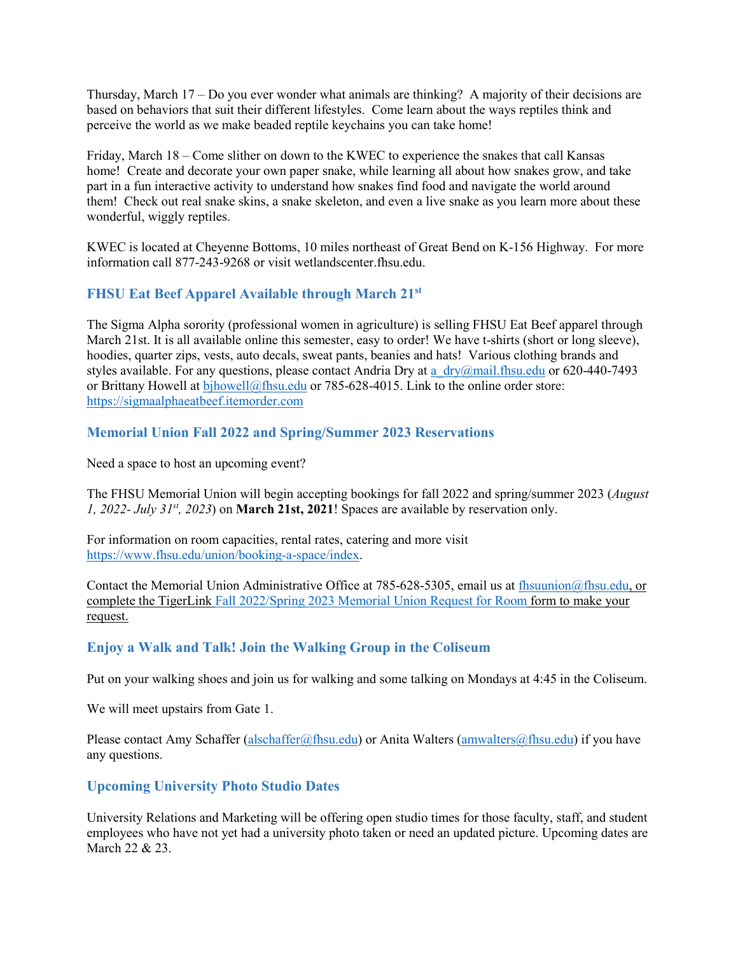Thursday, March  $17 - Do$  you ever wonder what animals are thinking? A majority of their decisions are based on behaviors that suit their different lifestyles. Come learn about the ways reptiles think and perceive the world as we make beaded reptile keychains you can take home!

Friday, March 18 – Come slither on down to the KWEC to experience the snakes that call Kansas home! Create and decorate your own paper snake, while learning all about how snakes grow, and take part in a fun interactive activity to understand how snakes find food and navigate the world around them! Check out real snake skins, a snake skeleton, and even a live snake as you learn more about these wonderful, wiggly reptiles.

KWEC is located at Cheyenne Bottoms, 10 miles northeast of Great Bend on K-156 Highway. For more information call 877-243-9268 or visit wetlandscenter.fhsu.edu.

# <span id="page-4-0"></span>**FHSU Eat Beef Apparel Available through March 21st**

The Sigma Alpha sorority (professional women in agriculture) is selling FHSU Eat Beef apparel through March 21st. It is all available online this semester, easy to order! We have t-shirts (short or long sleeve), hoodies, quarter zips, vests, auto decals, sweat pants, beanies and hats! Various clothing brands and styles available. For any questions, please contact Andria Dry at  $a \frac{dry(a)}{main}$ .fhsu.edu or 620-440-7493 or Brittany Howell at [bjhowell@fhsu.edu](mailto:bjhowell@fhsu.edu) or 785-628-4015. Link to the online order store: [https://sigmaalphaeatbeef.itemorder.com](https://sigmaalphaeatbeef.itemorder.com/)

# <span id="page-4-1"></span>**Memorial Union Fall 2022 and Spring/Summer 2023 Reservations**

Need a space to host an upcoming event?

The FHSU Memorial Union will begin accepting bookings for fall 2022 and spring/summer 2023 (*August 1, 2022- July 31st, 2023*) on **March 21st, 2021**! Spaces are available by reservation only.

For information on room capacities, rental rates, catering and more visit [https://www.fhsu.edu/union/booking-a-space/index.](https://www.fhsu.edu/union/booking-a-space/index)

Contact the Memorial Union Administrative Office at 785-628-5305, email us at [fhsuunion@fhsu.edu,](mailto:fhsuunion@fhsu.edu) or complete the TigerLin[k Fall 2022/Spring 2023 Memorial Union Request for Room](https://tigerlink.fhsu.edu/submitter/form/start/525502) form to make your request.

# <span id="page-4-2"></span>**Enjoy a Walk and Talk! Join the Walking Group in the Coliseum**

Put on your walking shoes and join us for walking and some talking on Mondays at 4:45 in the Coliseum.

We will meet upstairs from Gate 1.

Please contact Amy Schaffer [\(alschaffer@fhsu.edu\)](mailto:alschaffer@fhsu.edu) or Anita Walters [\(amwalters@fhsu.edu\)](mailto:amwalters@fhsu.edu) if you have any questions.

# <span id="page-4-3"></span>**Upcoming University Photo Studio Dates**

University Relations and Marketing will be offering open studio times for those faculty, staff, and student employees who have not yet had a university photo taken or need an updated picture. Upcoming dates are March 22 & 23.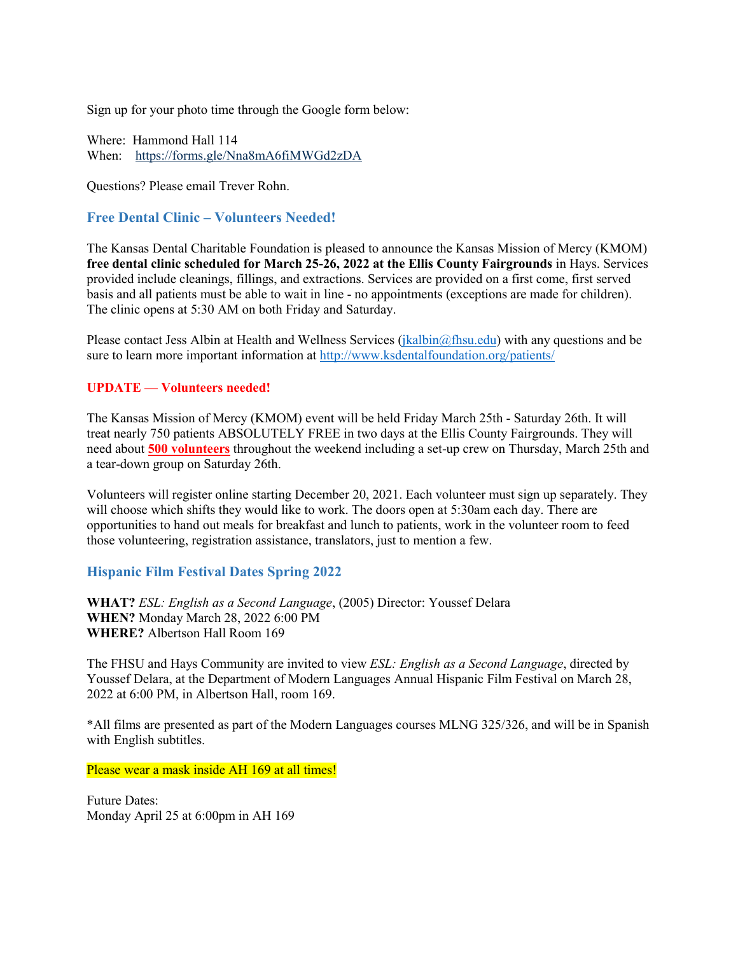Sign up for your photo time through the Google form below:

Where: Hammond Hall 114 When: <https://forms.gle/Nna8mA6fiMWGd2zDA>

Questions? Please email Trever Rohn.

<span id="page-5-0"></span>**Free Dental Clinic – Volunteers Needed!** 

The Kansas Dental Charitable Foundation is pleased to announce the Kansas Mission of Mercy (KMOM) **free dental clinic scheduled for March 25-26, 2022 at the Ellis County Fairgrounds** in Hays. Services provided include cleanings, fillings, and extractions. Services are provided on a first come, first served basis and all patients must be able to wait in line - no appointments (exceptions are made for children). The clinic opens at 5:30 AM on both Friday and Saturday.

Please contact Jess Albin at Health and Wellness Services [\(jkalbin@fhsu.edu\)](mailto:jkalbin@fhsu.edu) with any questions and be sure to learn more important information at<http://www.ksdentalfoundation.org/patients/>

#### **UPDATE — Volunteers needed!**

The Kansas Mission of Mercy (KMOM) event will be held Friday March 25th - Saturday 26th. It will treat nearly 750 patients ABSOLUTELY FREE in two days at the Ellis County Fairgrounds. They will need about **500 volunteers** throughout the weekend including a set-up crew on Thursday, March 25th and a tear-down group on Saturday 26th.

Volunteers will register online starting December 20, 2021. Each volunteer must sign up separately. They will choose which shifts they would like to work. The doors open at 5:30am each day. There are opportunities to hand out meals for breakfast and lunch to patients, work in the volunteer room to feed those volunteering, registration assistance, translators, just to mention a few.

#### <span id="page-5-1"></span>**Hispanic Film Festival Dates Spring 2022**

**WHAT?** *ESL: English as a Second Language*, (2005) Director: Youssef Delara **WHEN?** Monday March 28, 2022 6:00 PM **WHERE?** Albertson Hall Room 169

The FHSU and Hays Community are invited to view *ESL: English as a Second Language*, directed by Youssef Delara, at the Department of Modern Languages Annual Hispanic Film Festival on March 28, 2022 at 6:00 PM, in Albertson Hall, room 169.

\*All films are presented as part of the Modern Languages courses MLNG 325/326, and will be in Spanish with English subtitles.

Please wear a mask inside AH 169 at all times!

Future Dates: Monday April 25 at 6:00pm in AH 169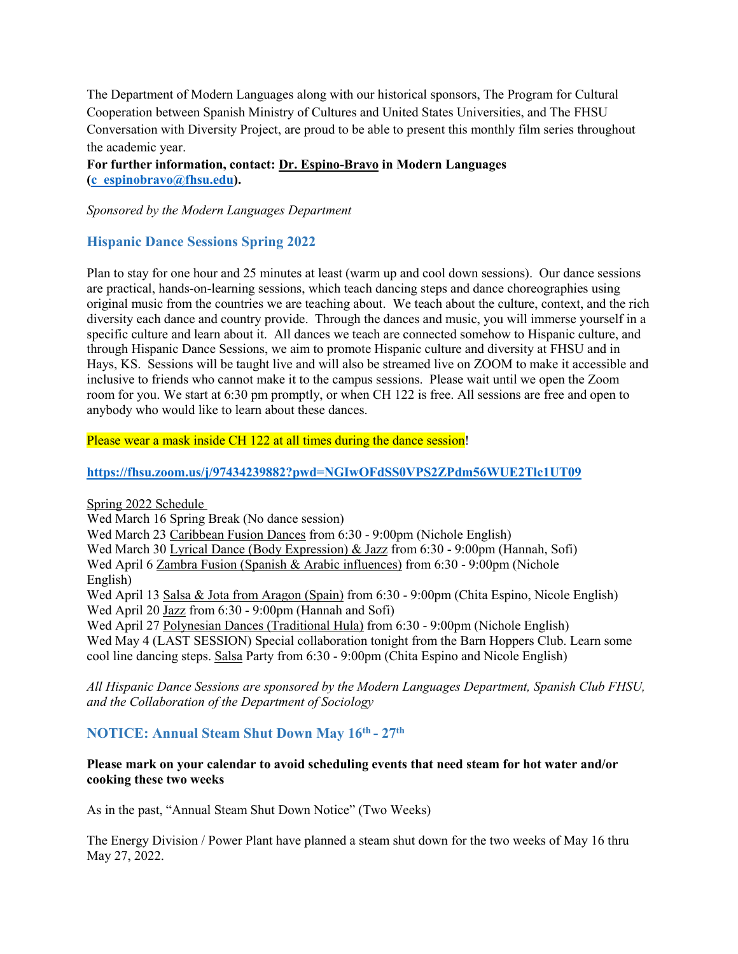The Department of Modern Languages along with our historical sponsors, The Program for Cultural Cooperation between Spanish Ministry of Cultures and United States Universities, and The FHSU Conversation with Diversity Project, are proud to be able to present this monthly film series throughout the academic year.

### **For further information, contact: Dr. Espino-Bravo in Modern Languages [\(c\\_espinobravo@fhsu.edu\)](mailto:c_espinobravo@fhsu.edu).**

#### *Sponsored by the Modern Languages Department*

# <span id="page-6-0"></span>**Hispanic Dance Sessions Spring 2022**

Plan to stay for one hour and 25 minutes at least (warm up and cool down sessions). Our dance sessions are practical, hands-on-learning sessions, which teach dancing steps and dance choreographies using original music from the countries we are teaching about. We teach about the culture, context, and the rich diversity each dance and country provide. Through the dances and music, you will immerse yourself in a specific culture and learn about it. All dances we teach are connected somehow to Hispanic culture, and through Hispanic Dance Sessions, we aim to promote Hispanic culture and diversity at FHSU and in Hays, KS. Sessions will be taught live and will also be streamed live on ZOOM to make it accessible and inclusive to friends who cannot make it to the campus sessions. Please wait until we open the Zoom room for you. We start at 6:30 pm promptly, or when CH 122 is free. All sessions are free and open to anybody who would like to learn about these dances.

Please wear a mask inside CH 122 at all times during the dance session!

#### **<https://fhsu.zoom.us/j/97434239882?pwd=NGIwOFdSS0VPS2ZPdm56WUE2Tlc1UT09>**

Spring 2022 Schedule

Wed March 16 Spring Break (No dance session)

Wed March 23 Caribbean Fusion Dances from 6:30 - 9:00pm (Nichole English)

Wed March 30 Lyrical Dance (Body Expression) & Jazz from 6:30 - 9:00pm (Hannah, Sofi)

Wed April 6 Zambra Fusion (Spanish & Arabic influences) from 6:30 - 9:00pm (Nichole English)

Wed April 13 Salsa & Jota from Aragon (Spain) from 6:30 - 9:00pm (Chita Espino, Nicole English) Wed April 20 Jazz from 6:30 - 9:00pm (Hannah and Sofi)

Wed April 27 Polynesian Dances (Traditional Hula) from 6:30 - 9:00pm (Nichole English) Wed May 4 (LAST SESSION) Special collaboration tonight from the Barn Hoppers Club. Learn some cool line dancing steps. Salsa Party from 6:30 - 9:00pm (Chita Espino and Nicole English)

*All Hispanic Dance Sessions are sponsored by the Modern Languages Department, Spanish Club FHSU, and the Collaboration of the Department of Sociology*

# <span id="page-6-1"></span>**NOTICE: Annual Steam Shut Down May 16th - 27th**

### **Please mark on your calendar to avoid scheduling events that need steam for hot water and/or cooking these two weeks**

As in the past, "Annual Steam Shut Down Notice" (Two Weeks)

The Energy Division / Power Plant have planned a steam shut down for the two weeks of May 16 thru May 27, 2022.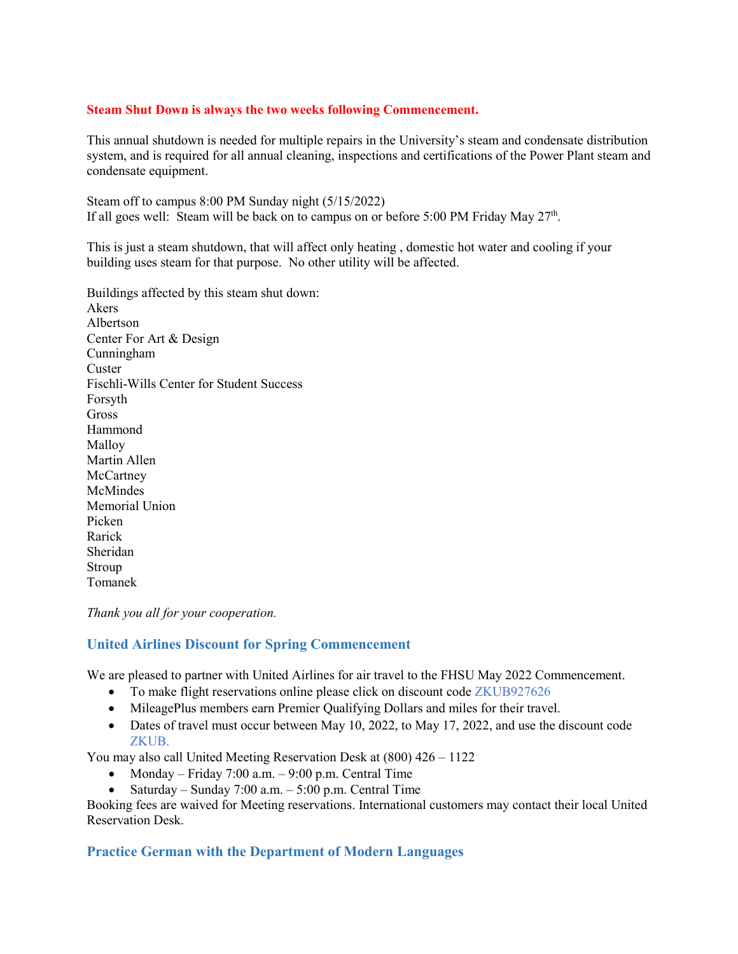#### **Steam Shut Down is always the two weeks following Commencement.**

This annual shutdown is needed for multiple repairs in the University's steam and condensate distribution system, and is required for all annual cleaning, inspections and certifications of the Power Plant steam and condensate equipment.

Steam off to campus 8:00 PM Sunday night (5/15/2022) If all goes well: Steam will be back on to campus on or before 5:00 PM Friday May  $27<sup>th</sup>$ .

This is just a steam shutdown, that will affect only heating , domestic hot water and cooling if your building uses steam for that purpose. No other utility will be affected.

Buildings affected by this steam shut down: Akers Albertson Center For Art & Design Cunningham **Custer** Fischli-Wills Center for Student Success Forsyth Gross Hammond Malloy Martin Allen **McCartney** McMindes Memorial Union Picken Rarick Sheridan Stroup Tomanek

*Thank you all for your cooperation.* 

# <span id="page-7-0"></span>**United Airlines Discount for Spring Commencement**

We are pleased to partner with United Airlines for air travel to the FHSU May 2022 Commencement.

- To make flight reservations online please click on discount code ZKUB927626
- MileagePlus members earn Premier Qualifying Dollars and miles for their travel.
- Dates of travel must occur between May 10, 2022, to May 17, 2022, and use the discount code ZKUB.

You may also call United Meeting Reservation Desk at (800) 426 – 1122

- Monday Friday 7:00 a.m. 9:00 p.m. Central Time
- Saturday Sunday 7:00 a.m.  $-5:00$  p.m. Central Time

Booking fees are waived for Meeting reservations. International customers may contact their local United Reservation Desk.

# <span id="page-7-1"></span>**Practice German with the Department of Modern Languages**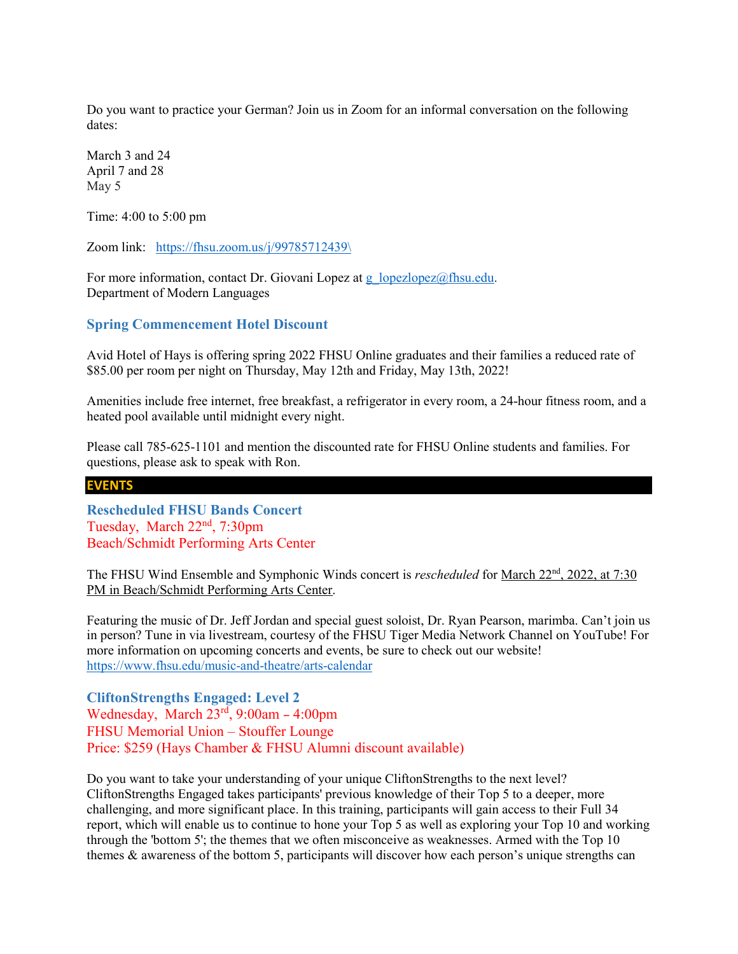Do you want to practice your German? Join us in Zoom for an informal conversation on the following dates:

March 3 and 24 April 7 and 28 May 5

Time: 4:00 to 5:00 pm

Zoom link: [https://fhsu.zoom.us/j/99785712439\](https://fhsu.zoom.us/j/99785712439/)

For more information, contact Dr. Giovani Lopez at [g\\_lopezlopez@fhsu.edu.](mailto:g_lopezlopez@fhsu.edu) Department of Modern Languages

#### <span id="page-8-0"></span>**Spring Commencement Hotel Discount**

Avid Hotel of Hays is offering spring 2022 FHSU Online graduates and their families a reduced rate of \$85.00 per room per night on Thursday, May 12th and Friday, May 13th, 2022!

Amenities include free internet, free breakfast, a refrigerator in every room, a 24-hour fitness room, and a heated pool available until midnight every night.

Please call 785-625-1101 and mention the discounted rate for FHSU Online students and families. For questions, please ask to speak with Ron.

#### **EVENTS**

<span id="page-8-1"></span>**Rescheduled FHSU Bands Concert** Tuesday, March 22<sup>nd</sup>, 7:30pm Beach/Schmidt Performing Arts Center

The FHSU Wind Ensemble and Symphonic Winds concert is *rescheduled* for March 22<sup>nd</sup>, 2022, at 7:30 PM in Beach/Schmidt Performing Arts Center.

Featuring the music of Dr. Jeff Jordan and special guest soloist, Dr. Ryan Pearson, marimba. Can't join us in person? Tune in via livestream, courtesy of the FHSU Tiger Media Network Channel on YouTube! For more information on upcoming concerts and events, be sure to check out our website! <https://www.fhsu.edu/music-and-theatre/arts-calendar>

<span id="page-8-2"></span>**CliftonStrengths Engaged: Level 2** Wednesday, March  $23<sup>rd</sup>$ , 9:00am – 4:00pm FHSU Memorial Union – Stouffer Lounge Price: \$259 (Hays Chamber & FHSU Alumni discount available)

Do you want to take your understanding of your unique CliftonStrengths to the next level? CliftonStrengths Engaged takes participants' previous knowledge of their Top 5 to a deeper, more challenging, and more significant place. In this training, participants will gain access to their Full 34 report, which will enable us to continue to hone your Top 5 as well as exploring your Top 10 and working through the 'bottom 5'; the themes that we often misconceive as weaknesses. Armed with the Top 10 themes & awareness of the bottom 5, participants will discover how each person's unique strengths can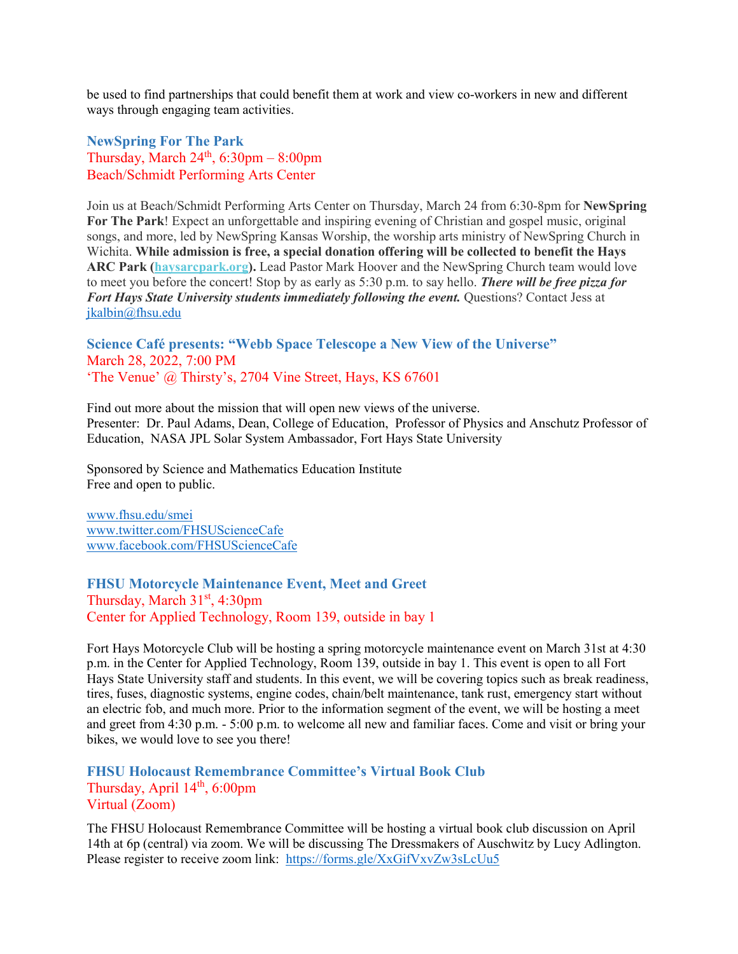be used to find partnerships that could benefit them at work and view co-workers in new and different ways through engaging team activities.

<span id="page-9-0"></span>**NewSpring For The Park** Thursday, March  $24<sup>th</sup>$ , 6:30pm – 8:00pm Beach/Schmidt Performing Arts Center

Join us at Beach/Schmidt Performing Arts Center on Thursday, March 24 from 6:30-8pm for **NewSpring For The Park**! Expect an unforgettable and inspiring evening of Christian and gospel music, original songs, and more, led by NewSpring Kansas Worship, the worship arts ministry of NewSpring Church in Wichita. **While admission is free, a special donation offering will be collected to benefit the Hays ARC Park [\(haysarcpark.org\)](http://haysarcpark.org/).** Lead Pastor Mark Hoover and the NewSpring Church team would love to meet you before the concert! Stop by as early as 5:30 p.m. to say hello. *There will be free pizza for Fort Hays State University students immediately following the event.* Questions? Contact Jess at [jkalbin@fhsu.edu](mailto:jkalbin@fhsu.edu) 

<span id="page-9-1"></span>**Science Café presents: "Webb Space Telescope a New View of the Universe"** March 28, 2022, 7:00 PM 'The Venue' @ Thirsty's, 2704 Vine Street, Hays, KS 67601

Find out more about the mission that will open new views of the universe. Presenter: Dr. Paul Adams, Dean, College of Education, Professor of Physics and Anschutz Professor of Education, NASA JPL Solar System Ambassador, Fort Hays State University

Sponsored by Science and Mathematics Education Institute Free and open to public.

[www.fhsu.edu/smei](http://www.fhsu.edu/smei)  [www.twitter.com/FHSUScienceCafe](http://www.twitter.com/FHSUScienceCafe)  [www.facebook.com/FHSUScienceCafe](http://www.facebook.com/FHSUScienceCafe)

# <span id="page-9-2"></span>**FHSU Motorcycle Maintenance Event, Meet and Greet** Thursday, March 31<sup>st</sup>, 4:30pm

Center for Applied Technology, Room 139, outside in bay 1

Fort Hays Motorcycle Club will be hosting a spring motorcycle maintenance event on March 31st at 4:30 p.m. in the Center for Applied Technology, Room 139, outside in bay 1. This event is open to all Fort Hays State University staff and students. In this event, we will be covering topics such as break readiness, tires, fuses, diagnostic systems, engine codes, chain/belt maintenance, tank rust, emergency start without an electric fob, and much more. Prior to the information segment of the event, we will be hosting a meet and greet from 4:30 p.m. - 5:00 p.m. to welcome all new and familiar faces. Come and visit or bring your bikes, we would love to see you there!

# <span id="page-9-3"></span>**FHSU Holocaust Remembrance Committee's Virtual Book Club**  Thursday, April  $14<sup>th</sup>$ , 6:00pm Virtual (Zoom)

The FHSU Holocaust Remembrance Committee will be hosting a virtual book club discussion on April 14th at 6p (central) via zoom. We will be discussing The Dressmakers of Auschwitz by Lucy Adlington. Please register to receive zoom link: <https://forms.gle/XxGifVxvZw3sLcUu5>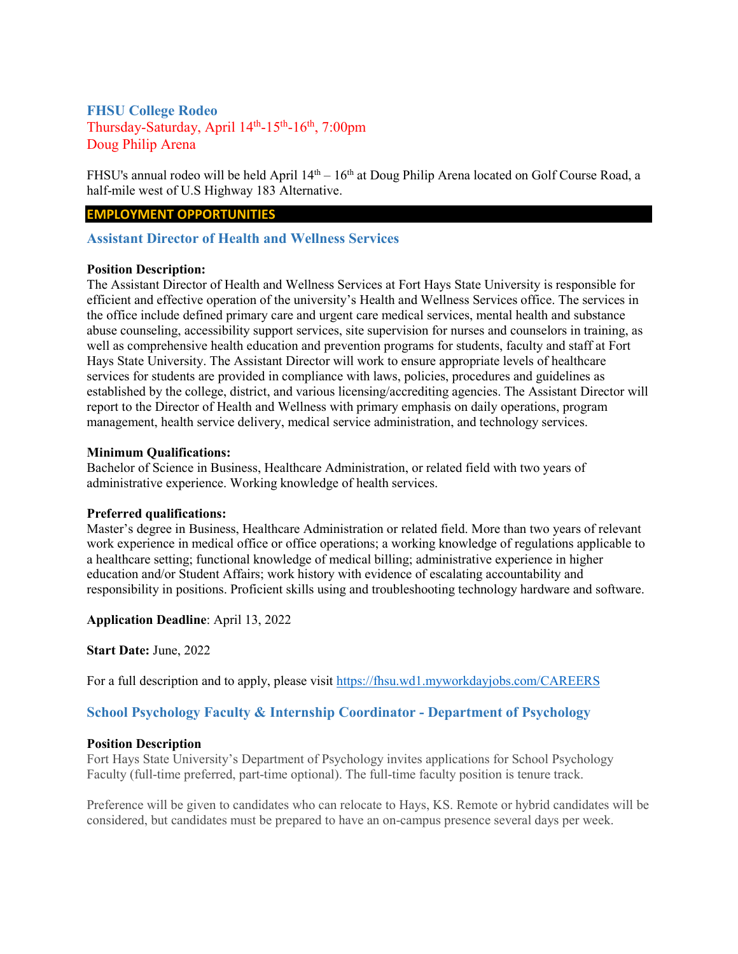# <span id="page-10-0"></span>**FHSU College Rodeo** Thursday-Saturday, April 14<sup>th</sup>-15<sup>th</sup>-16<sup>th</sup>, 7:00pm Doug Philip Arena

FHSU's annual rodeo will be held April  $14<sup>th</sup> - 16<sup>th</sup>$  at Doug Philip Arena located on Golf Course Road, a half-mile west of U.S Highway 183 Alternative.

#### **EMPLOYMENT OPPORTUNITIES**

#### <span id="page-10-1"></span>**Assistant Director of Health and Wellness Services**

#### **Position Description:**

The Assistant Director of Health and Wellness Services at Fort Hays State University is responsible for efficient and effective operation of the university's Health and Wellness Services office. The services in the office include defined primary care and urgent care medical services, mental health and substance abuse counseling, accessibility support services, site supervision for nurses and counselors in training, as well as comprehensive health education and prevention programs for students, faculty and staff at Fort Hays State University. The Assistant Director will work to ensure appropriate levels of healthcare services for students are provided in compliance with laws, policies, procedures and guidelines as established by the college, district, and various licensing/accrediting agencies. The Assistant Director will report to the Director of Health and Wellness with primary emphasis on daily operations, program management, health service delivery, medical service administration, and technology services.

#### **Minimum Qualifications:**

Bachelor of Science in Business, Healthcare Administration, or related field with two years of administrative experience. Working knowledge of health services.

#### **Preferred qualifications:**

Master's degree in Business, Healthcare Administration or related field. More than two years of relevant work experience in medical office or office operations; a working knowledge of regulations applicable to a healthcare setting; functional knowledge of medical billing; administrative experience in higher education and/or Student Affairs; work history with evidence of escalating accountability and responsibility in positions. Proficient skills using and troubleshooting technology hardware and software.

**Application Deadline**: April 13, 2022

#### **Start Date:** June, 2022

For a full description and to apply, please visit<https://fhsu.wd1.myworkdayjobs.com/CAREERS>

#### <span id="page-10-2"></span>**School Psychology Faculty & Internship Coordinator - Department of Psychology**

#### **Position Description**

Fort Hays State University's Department of Psychology invites applications for School Psychology Faculty (full-time preferred, part-time optional). The full-time faculty position is tenure track.

Preference will be given to candidates who can relocate to Hays, KS. Remote or hybrid candidates will be considered, but candidates must be prepared to have an on-campus presence several days per week.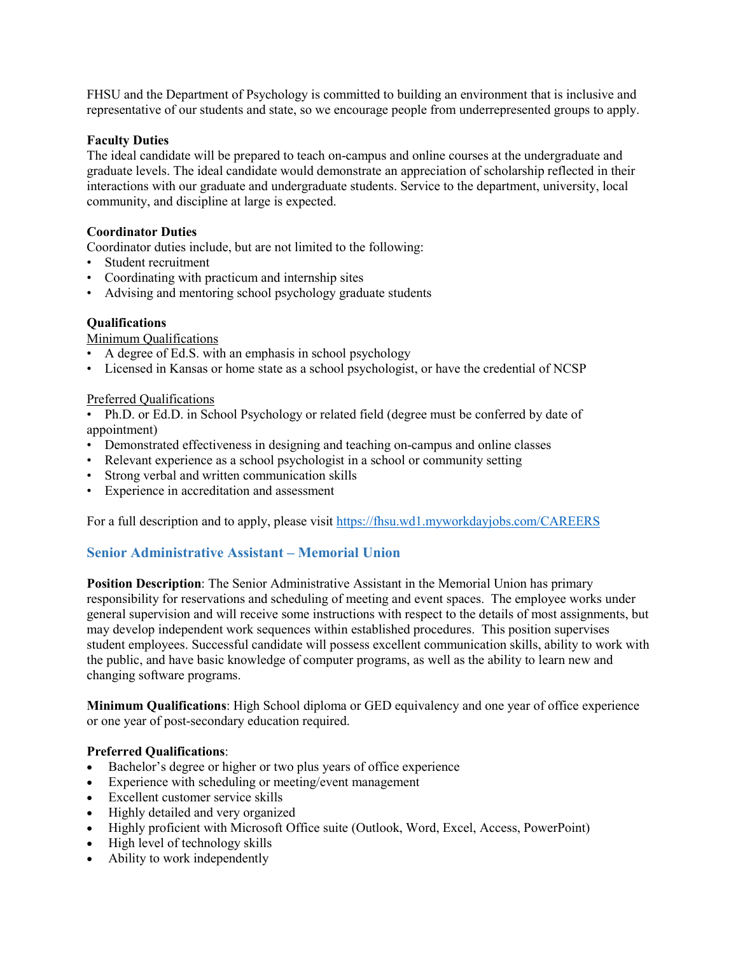FHSU and the Department of Psychology is committed to building an environment that is inclusive and representative of our students and state, so we encourage people from underrepresented groups to apply.

#### **Faculty Duties**

The ideal candidate will be prepared to teach on-campus and online courses at the undergraduate and graduate levels. The ideal candidate would demonstrate an appreciation of scholarship reflected in their interactions with our graduate and undergraduate students. Service to the department, university, local community, and discipline at large is expected.

#### **Coordinator Duties**

Coordinator duties include, but are not limited to the following:

- Student recruitment
- Coordinating with practicum and internship sites
- Advising and mentoring school psychology graduate students

### **Qualifications**

Minimum Qualifications

- A degree of Ed.S. with an emphasis in school psychology
- Licensed in Kansas or home state as a school psychologist, or have the credential of NCSP

#### Preferred Qualifications

• Ph.D. or Ed.D. in School Psychology or related field (degree must be conferred by date of appointment)

- Demonstrated effectiveness in designing and teaching on-campus and online classes
- Relevant experience as a school psychologist in a school or community setting
- Strong verbal and written communication skills
- Experience in accreditation and assessment

For a full description and to apply, please visit<https://fhsu.wd1.myworkdayjobs.com/CAREERS>

# <span id="page-11-0"></span>**Senior Administrative Assistant – Memorial Union**

**Position Description**: The Senior Administrative Assistant in the Memorial Union has primary responsibility for reservations and scheduling of meeting and event spaces. The employee works under general supervision and will receive some instructions with respect to the details of most assignments, but may develop independent work sequences within established procedures. This position supervises student employees. Successful candidate will possess excellent communication skills, ability to work with the public, and have basic knowledge of computer programs, as well as the ability to learn new and changing software programs.

**Minimum Qualifications**: High School diploma or GED equivalency and one year of office experience or one year of post-secondary education required.

#### **Preferred Qualifications**:

- Bachelor's degree or higher or two plus years of office experience
- Experience with scheduling or meeting/event management
- Excellent customer service skills
- Highly detailed and very organized
- Highly proficient with Microsoft Office suite (Outlook, Word, Excel, Access, PowerPoint)
- High level of technology skills
- Ability to work independently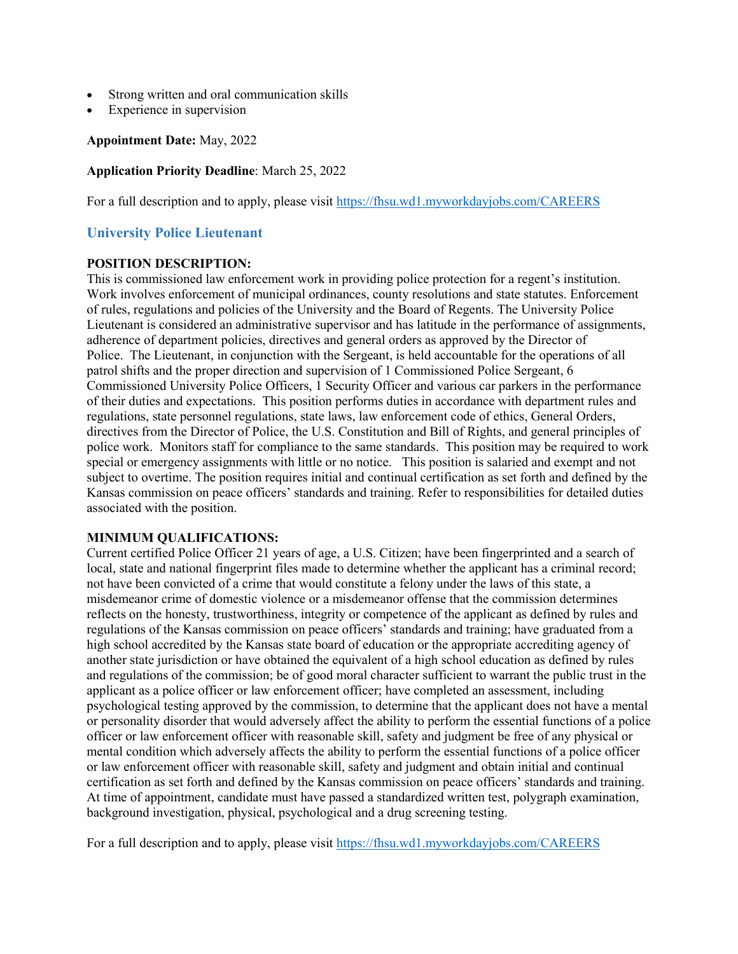- Strong written and oral communication skills
- Experience in supervision

**Appointment Date:** May, 2022

#### **Application Priority Deadline**: March 25, 2022

For a full description and to apply, please visit<https://fhsu.wd1.myworkdayjobs.com/CAREERS>

# <span id="page-12-0"></span>**University Police Lieutenant**

#### **POSITION DESCRIPTION:**

This is commissioned law enforcement work in providing police protection for a regent's institution. Work involves enforcement of municipal ordinances, county resolutions and state statutes. Enforcement of rules, regulations and policies of the University and the Board of Regents. The University Police Lieutenant is considered an administrative supervisor and has latitude in the performance of assignments, adherence of department policies, directives and general orders as approved by the Director of Police. The Lieutenant, in conjunction with the Sergeant, is held accountable for the operations of all patrol shifts and the proper direction and supervision of 1 Commissioned Police Sergeant, 6 Commissioned University Police Officers, 1 Security Officer and various car parkers in the performance of their duties and expectations. This position performs duties in accordance with department rules and regulations, state personnel regulations, state laws, law enforcement code of ethics, General Orders, directives from the Director of Police, the U.S. Constitution and Bill of Rights, and general principles of police work. Monitors staff for compliance to the same standards. This position may be required to work special or emergency assignments with little or no notice. This position is salaried and exempt and not subject to overtime. The position requires initial and continual certification as set forth and defined by the Kansas commission on peace officers' standards and training. Refer to responsibilities for detailed duties associated with the position.

#### **MINIMUM QUALIFICATIONS:**

Current certified Police Officer 21 years of age, a U.S. Citizen; have been fingerprinted and a search of local, state and national fingerprint files made to determine whether the applicant has a criminal record; not have been convicted of a crime that would constitute a felony under the laws of this state, a misdemeanor crime of domestic violence or a misdemeanor offense that the commission determines reflects on the honesty, trustworthiness, integrity or competence of the applicant as defined by rules and regulations of the Kansas commission on peace officers' standards and training; have graduated from a high school accredited by the Kansas state board of education or the appropriate accrediting agency of another state jurisdiction or have obtained the equivalent of a high school education as defined by rules and regulations of the commission; be of good moral character sufficient to warrant the public trust in the applicant as a police officer or law enforcement officer; have completed an assessment, including psychological testing approved by the commission, to determine that the applicant does not have a mental or personality disorder that would adversely affect the ability to perform the essential functions of a police officer or law enforcement officer with reasonable skill, safety and judgment be free of any physical or mental condition which adversely affects the ability to perform the essential functions of a police officer or law enforcement officer with reasonable skill, safety and judgment and obtain initial and continual certification as set forth and defined by the Kansas commission on peace officers' standards and training. At time of appointment, candidate must have passed a standardized written test, polygraph examination, background investigation, physical, psychological and a drug screening testing.

For a full description and to apply, please visit<https://fhsu.wd1.myworkdayjobs.com/CAREERS>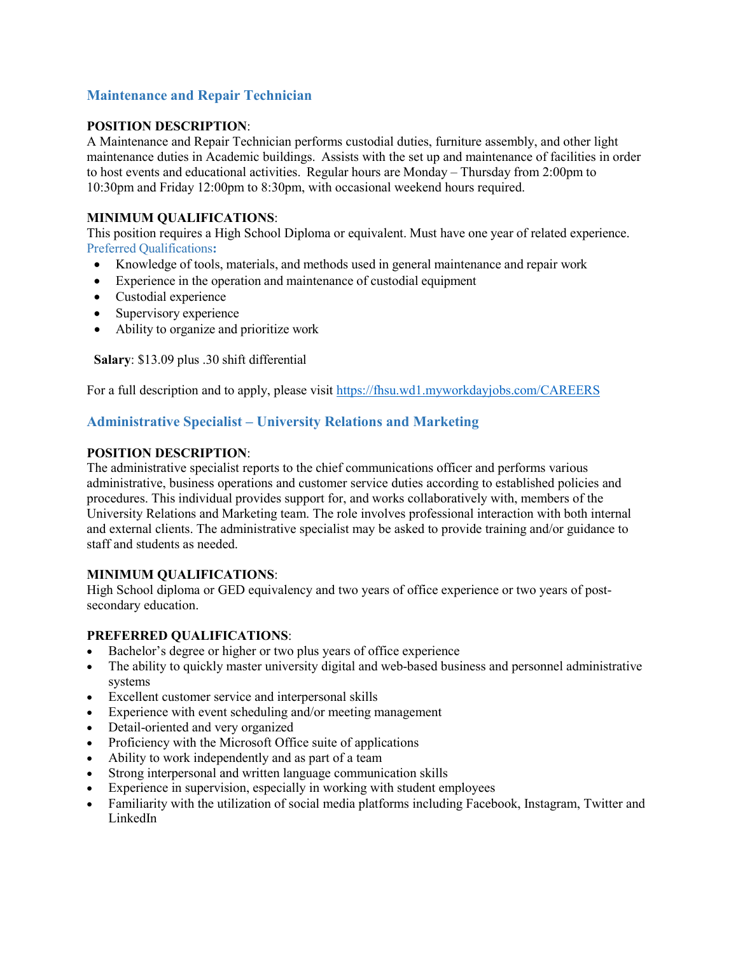# <span id="page-13-0"></span>**Maintenance and Repair Technician**

## **POSITION DESCRIPTION**:

A Maintenance and Repair Technician performs custodial duties, furniture assembly, and other light maintenance duties in Academic buildings. Assists with the set up and maintenance of facilities in order to host events and educational activities. Regular hours are Monday – Thursday from 2:00pm to 10:30pm and Friday 12:00pm to 8:30pm, with occasional weekend hours required.

# **MINIMUM QUALIFICATIONS**:

This position requires a High School Diploma or equivalent. Must have one year of related experience. Preferred Qualifications**:**

- Knowledge of tools, materials, and methods used in general maintenance and repair work
- Experience in the operation and maintenance of custodial equipment
- Custodial experience
- Supervisory experience
- Ability to organize and prioritize work

**Salary**: \$13.09 plus .30 shift differential

For a full description and to apply, please visit<https://fhsu.wd1.myworkdayjobs.com/CAREERS>

# <span id="page-13-1"></span>**Administrative Specialist – University Relations and Marketing**

### **POSITION DESCRIPTION**:

The administrative specialist reports to the chief communications officer and performs various administrative, business operations and customer service duties according to established policies and procedures. This individual provides support for, and works collaboratively with, members of the University Relations and Marketing team. The role involves professional interaction with both internal and external clients. The administrative specialist may be asked to provide training and/or guidance to staff and students as needed.

#### **MINIMUM QUALIFICATIONS**:

High School diploma or GED equivalency and two years of office experience or two years of postsecondary education.

#### **PREFERRED QUALIFICATIONS**:

- Bachelor's degree or higher or two plus years of office experience
- The ability to quickly master university digital and web-based business and personnel administrative systems
- Excellent customer service and interpersonal skills
- Experience with event scheduling and/or meeting management
- Detail-oriented and very organized
- Proficiency with the Microsoft Office suite of applications
- Ability to work independently and as part of a team
- Strong interpersonal and written language communication skills
- Experience in supervision, especially in working with student employees
- Familiarity with the utilization of social media platforms including Facebook, Instagram, Twitter and LinkedIn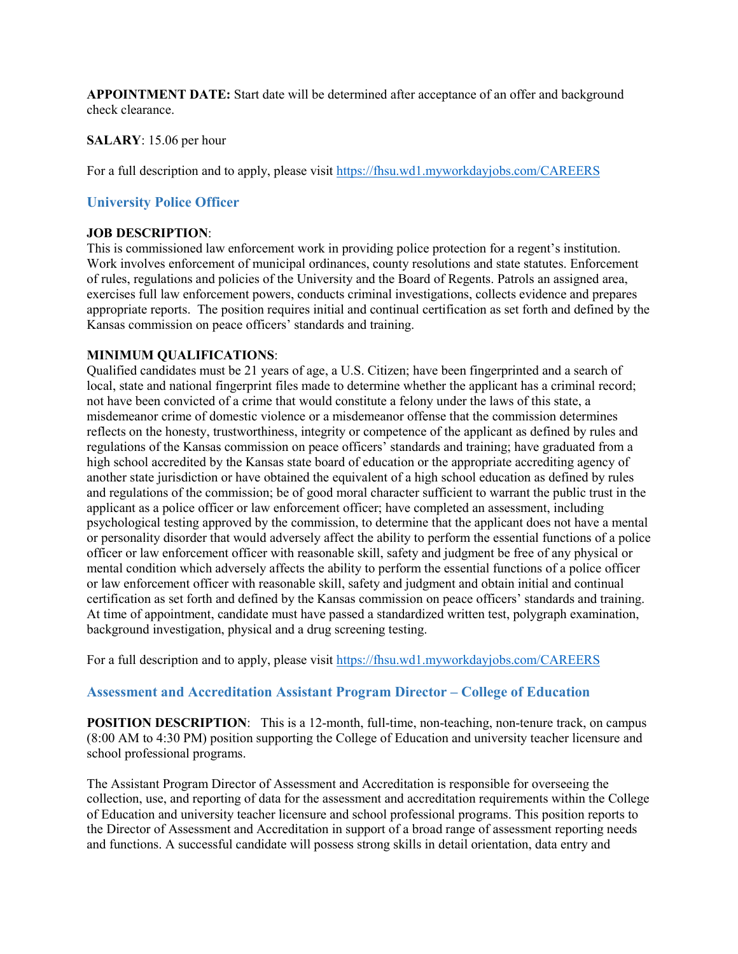**APPOINTMENT DATE:** Start date will be determined after acceptance of an offer and background check clearance.

#### **SALARY**: 15.06 per hour

For a full description and to apply, please visit<https://fhsu.wd1.myworkdayjobs.com/CAREERS>

# <span id="page-14-0"></span>**University Police Officer**

#### **JOB DESCRIPTION**:

This is commissioned law enforcement work in providing police protection for a regent's institution. Work involves enforcement of municipal ordinances, county resolutions and state statutes. Enforcement of rules, regulations and policies of the University and the Board of Regents. Patrols an assigned area, exercises full law enforcement powers, conducts criminal investigations, collects evidence and prepares appropriate reports. The position requires initial and continual certification as set forth and defined by the Kansas commission on peace officers' standards and training.

#### **MINIMUM QUALIFICATIONS**:

Qualified candidates must be 21 years of age, a U.S. Citizen; have been fingerprinted and a search of local, state and national fingerprint files made to determine whether the applicant has a criminal record; not have been convicted of a crime that would constitute a felony under the laws of this state, a misdemeanor crime of domestic violence or a misdemeanor offense that the commission determines reflects on the honesty, trustworthiness, integrity or competence of the applicant as defined by rules and regulations of the Kansas commission on peace officers' standards and training; have graduated from a high school accredited by the Kansas state board of education or the appropriate accrediting agency of another state jurisdiction or have obtained the equivalent of a high school education as defined by rules and regulations of the commission; be of good moral character sufficient to warrant the public trust in the applicant as a police officer or law enforcement officer; have completed an assessment, including psychological testing approved by the commission, to determine that the applicant does not have a mental or personality disorder that would adversely affect the ability to perform the essential functions of a police officer or law enforcement officer with reasonable skill, safety and judgment be free of any physical or mental condition which adversely affects the ability to perform the essential functions of a police officer or law enforcement officer with reasonable skill, safety and judgment and obtain initial and continual certification as set forth and defined by the Kansas commission on peace officers' standards and training. At time of appointment, candidate must have passed a standardized written test, polygraph examination, background investigation, physical and a drug screening testing.

For a full description and to apply, please visit<https://fhsu.wd1.myworkdayjobs.com/CAREERS>

# <span id="page-14-1"></span>**Assessment and Accreditation Assistant Program Director – College of Education**

**POSITION DESCRIPTION:** This is a 12-month, full-time, non-teaching, non-tenure track, on campus (8:00 AM to 4:30 PM) position supporting the College of Education and university teacher licensure and school professional programs.

The Assistant Program Director of Assessment and Accreditation is responsible for overseeing the collection, use, and reporting of data for the assessment and accreditation requirements within the College of Education and university teacher licensure and school professional programs. This position reports to the Director of Assessment and Accreditation in support of a broad range of assessment reporting needs and functions. A successful candidate will possess strong skills in detail orientation, data entry and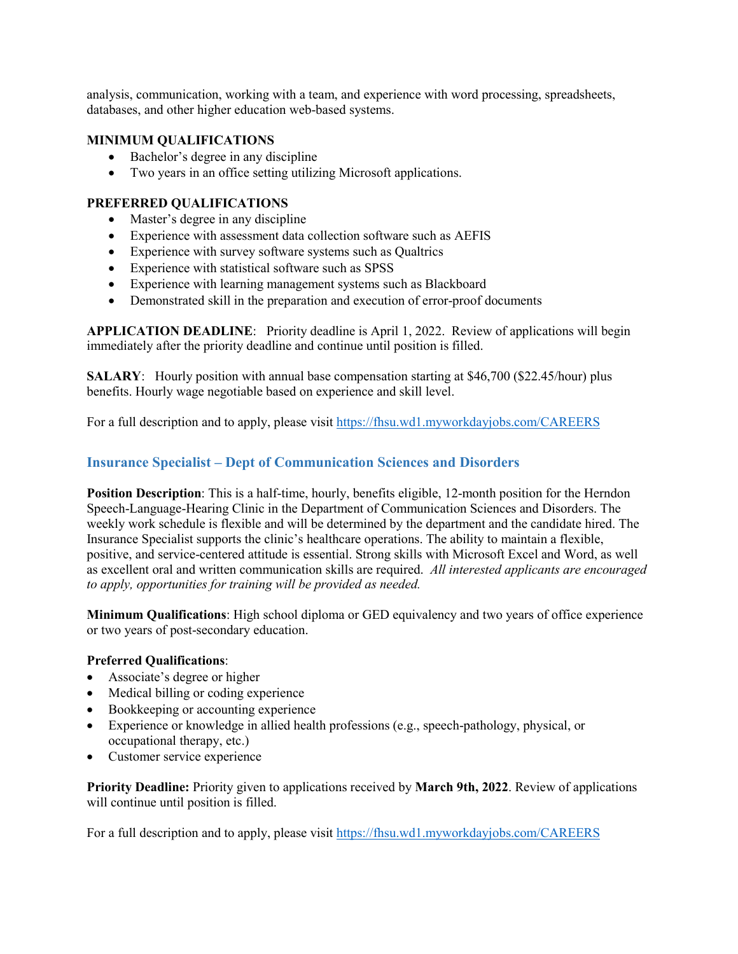analysis, communication, working with a team, and experience with word processing, spreadsheets, databases, and other higher education web-based systems.

#### **MINIMUM QUALIFICATIONS**

- Bachelor's degree in any discipline
- Two years in an office setting utilizing Microsoft applications.

#### **PREFERRED QUALIFICATIONS**

- Master's degree in any discipline
- Experience with assessment data collection software such as AEFIS
- Experience with survey software systems such as Qualtrics
- Experience with statistical software such as SPSS
- Experience with learning management systems such as Blackboard
- Demonstrated skill in the preparation and execution of error-proof documents

**APPLICATION DEADLINE**: Priority deadline is April 1, 2022. Review of applications will begin immediately after the priority deadline and continue until position is filled.

**SALARY**: Hourly position with annual base compensation starting at \$46,700 (\$22.45/hour) plus benefits. Hourly wage negotiable based on experience and skill level.

For a full description and to apply, please visit<https://fhsu.wd1.myworkdayjobs.com/CAREERS>

# <span id="page-15-0"></span>**Insurance Specialist – Dept of Communication Sciences and Disorders**

**Position Description**: This is a half-time, hourly, benefits eligible, 12-month position for the Herndon Speech-Language-Hearing Clinic in the Department of Communication Sciences and Disorders. The weekly work schedule is flexible and will be determined by the department and the candidate hired. The Insurance Specialist supports the clinic's healthcare operations. The ability to maintain a flexible, positive, and service-centered attitude is essential. Strong skills with Microsoft Excel and Word, as well as excellent oral and written communication skills are required. *All interested applicants are encouraged to apply, opportunities for training will be provided as needed.* 

**Minimum Qualifications**: High school diploma or GED equivalency and two years of office experience or two years of post-secondary education.

#### **Preferred Qualifications**:

- Associate's degree or higher
- Medical billing or coding experience
- Bookkeeping or accounting experience
- Experience or knowledge in allied health professions (e.g., speech-pathology, physical, or occupational therapy, etc.)
- Customer service experience

**Priority Deadline:** Priority given to applications received by **March 9th, 2022**. Review of applications will continue until position is filled.

For a full description and to apply, please visit<https://fhsu.wd1.myworkdayjobs.com/CAREERS>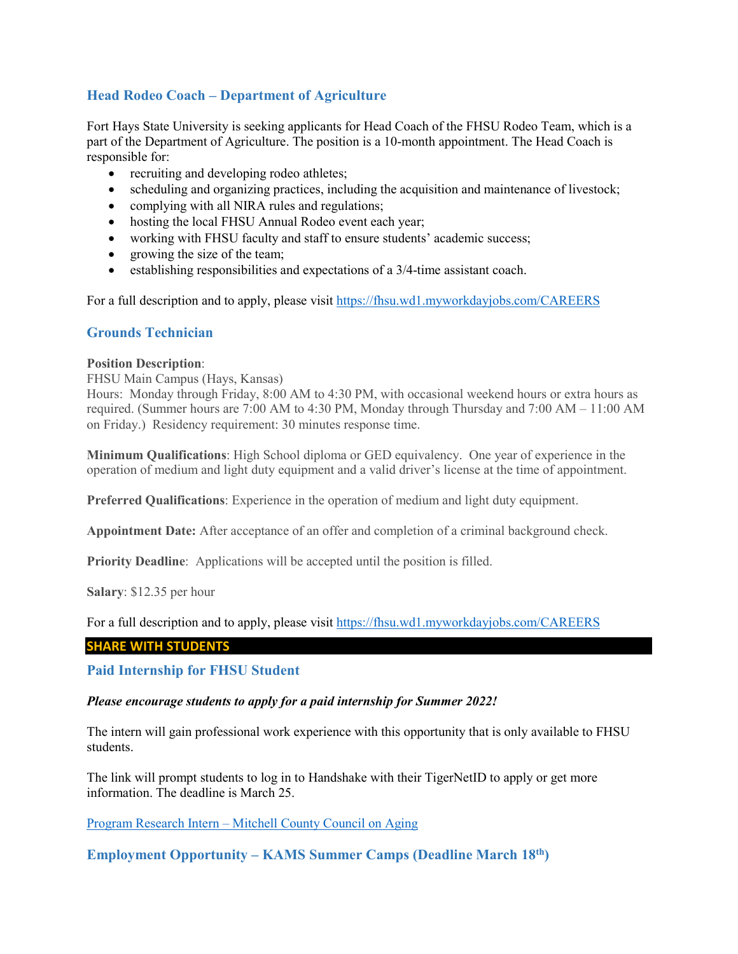# <span id="page-16-0"></span>**Head Rodeo Coach – Department of Agriculture**

Fort Hays State University is seeking applicants for Head Coach of the FHSU Rodeo Team, which is a part of the Department of Agriculture. The position is a 10-month appointment. The Head Coach is responsible for:

- recruiting and developing rodeo athletes;
- scheduling and organizing practices, including the acquisition and maintenance of livestock;
- complying with all NIRA rules and regulations;
- hosting the local FHSU Annual Rodeo event each year;
- working with FHSU faculty and staff to ensure students' academic success;
- growing the size of the team;
- establishing responsibilities and expectations of a 3/4-time assistant coach.

For a full description and to apply, please visit<https://fhsu.wd1.myworkdayjobs.com/CAREERS>

# <span id="page-16-1"></span>**Grounds Technician**

#### **Position Description**:

#### FHSU Main Campus (Hays, Kansas)

Hours: Monday through Friday, 8:00 AM to 4:30 PM, with occasional weekend hours or extra hours as required. (Summer hours are 7:00 AM to 4:30 PM, Monday through Thursday and 7:00 AM – 11:00 AM on Friday.) Residency requirement: 30 minutes response time.

**Minimum Qualifications**: High School diploma or GED equivalency. One year of experience in the operation of medium and light duty equipment and a valid driver's license at the time of appointment.

**Preferred Qualifications**: Experience in the operation of medium and light duty equipment.

**Appointment Date:** After acceptance of an offer and completion of a criminal background check.

**Priority Deadline:** Applications will be accepted until the position is filled.

**Salary**: \$12.35 per hour

For a full description and to apply, please visit<https://fhsu.wd1.myworkdayjobs.com/CAREERS>

#### **SHARE WITH STUDENTS**

# <span id="page-16-2"></span>**Paid Internship for FHSU Student**

#### *Please encourage students to apply for a paid internship for Summer 2022!*

The intern will gain professional work experience with this opportunity that is only available to FHSU students.

The link will prompt students to log in to Handshake with their TigerNetID to apply or get more information. The deadline is March 25.

#### [Program Research Intern – Mitchell County Council on Aging](https://fhsu.joinhandshake.com/jobs/6089280/share_preview)

# <span id="page-16-3"></span>**Employment Opportunity – KAMS Summer Camps (Deadline March 18th)**